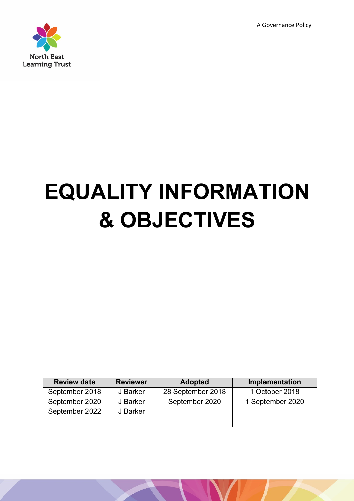A Governance Policy



# **EQUALITY INFORMATION & OBJECTIVES**

| <b>Review date</b> | <b>Reviewer</b> | <b>Adopted</b>    | Implementation   |
|--------------------|-----------------|-------------------|------------------|
| September 2018     | J Barker        | 28 September 2018 | 1 October 2018   |
| September 2020     | J Barker        | September 2020    | 1 September 2020 |
| September 2022     | J Barker        |                   |                  |
|                    |                 |                   |                  |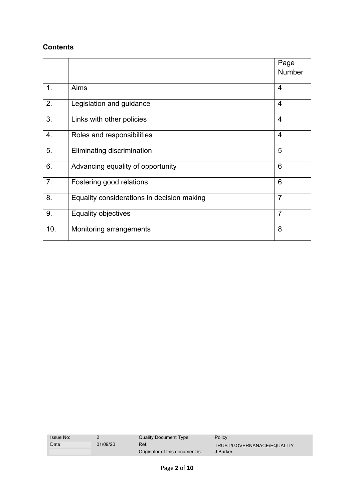## **Contents**

|                |                                            | Page           |
|----------------|--------------------------------------------|----------------|
|                |                                            | <b>Number</b>  |
| 1.             | Aims                                       | $\overline{4}$ |
|                |                                            |                |
| 2.             | Legislation and guidance                   | 4              |
| 3.             | Links with other policies                  | $\overline{4}$ |
| 4.             | Roles and responsibilities                 | $\overline{4}$ |
| 5.             | Eliminating discrimination                 | 5              |
| 6.             | Advancing equality of opportunity          | 6              |
| 7 <sub>1</sub> | Fostering good relations                   | 6              |
| 8.             | Equality considerations in decision making | $\overline{7}$ |
| 9.             | Equality objectives                        | $\overline{7}$ |
| 10.            | Monitoring arrangements                    | 8              |

| <b>Issue No:</b> |          | Quality Document Type:                  | Policy                                 |
|------------------|----------|-----------------------------------------|----------------------------------------|
| Date:            | 01/09/20 | Ref:<br>Originator of this document is: | TRUST/GOVERNANACE/EQUALITY<br>J Barker |
|                  |          |                                         |                                        |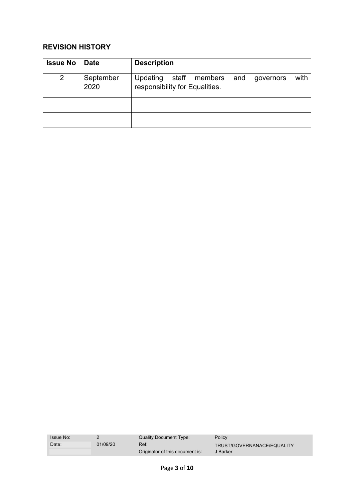# **REVISION HISTORY**

| <b>Issue No</b> | <b>Date</b>       | <b>Description</b>                                                                   |
|-----------------|-------------------|--------------------------------------------------------------------------------------|
| 2               | September<br>2020 | with<br>staff members and<br>Updating<br>governors<br>responsibility for Equalities. |
|                 |                   |                                                                                      |
|                 |                   |                                                                                      |

| <b>Issue No:</b> |          | Quality Document Type:                  | Policy                                 |
|------------------|----------|-----------------------------------------|----------------------------------------|
| Date:            | 01/09/20 | Ref:<br>Originator of this document is: | TRUST/GOVERNANACE/EQUALITY<br>J Barker |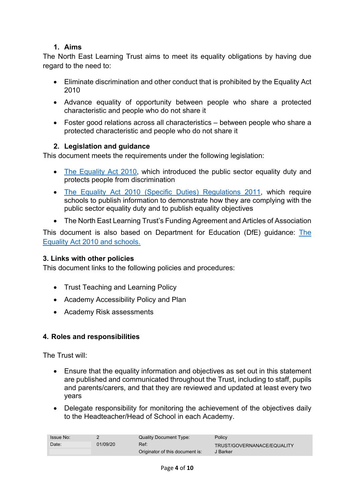## **1. Aims**

The North East Learning Trust aims to meet its equality obligations by having due regard to the need to:

- Eliminate discrimination and other conduct that is prohibited by the Equality Act 2010
- Advance equality of opportunity between people who share a protected characteristic and people who do not share it
- Foster good relations across all characteristics between people who share a protected characteristic and people who do not share it

### **2. Legislation and guidance**

This document meets the requirements under the following legislation:

- The Equality Act 2010, which introduced the public sector equality duty and protects people from discrimination
- The Equality Act 2010 (Specific Duties) Regulations 2011, which require schools to publish information to demonstrate how they are complying with the public sector equality duty and to publish equality objectives
- The North East Learning Trust's Funding Agreement and Articles of Association

This document is also based on Department for Education (DfE) guidance: The Equality Act 2010 and schools.

#### **3. Links with other policies**

This document links to the following policies and procedures:

- Trust Teaching and Learning Policy
- Academy Accessibility Policy and Plan
- Academy Risk assessments

#### **4. Roles and responsibilities**

The Trust will:

- Ensure that the equality information and objectives as set out in this statement are published and communicated throughout the Trust, including to staff, pupils and parents/carers, and that they are reviewed and updated at least every two years
- Delegate responsibility for monitoring the achievement of the objectives daily to the Headteacher/Head of School in each Academy.

| <b>Issue No:</b> |          | Quality Document Type:                  | Policy                                 |
|------------------|----------|-----------------------------------------|----------------------------------------|
| Date:            | 01/09/20 | Ref:<br>Originator of this document is: | TRUST/GOVERNANACE/EQUALITY<br>J Barker |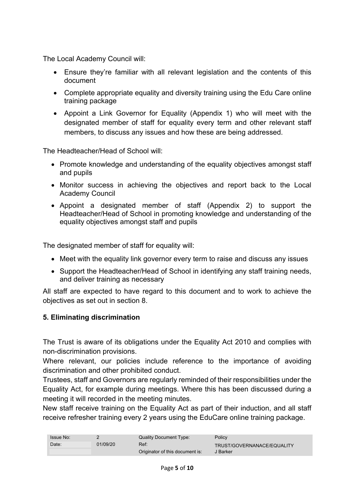The Local Academy Council will:

- Ensure they're familiar with all relevant legislation and the contents of this document
- Complete appropriate equality and diversity training using the Edu Care online training package
- Appoint a Link Governor for Equality (Appendix 1) who will meet with the designated member of staff for equality every term and other relevant staff members, to discuss any issues and how these are being addressed.

The Headteacher/Head of School will:

- Promote knowledge and understanding of the equality objectives amongst staff and pupils
- Monitor success in achieving the objectives and report back to the Local Academy Council
- Appoint a designated member of staff (Appendix 2) to support the Headteacher/Head of School in promoting knowledge and understanding of the equality objectives amongst staff and pupils

The designated member of staff for equality will:

- Meet with the equality link governor every term to raise and discuss any issues
- Support the Headteacher/Head of School in identifying any staff training needs, and deliver training as necessary

All staff are expected to have regard to this document and to work to achieve the objectives as set out in section 8.

### **5. Eliminating discrimination**

The Trust is aware of its obligations under the Equality Act 2010 and complies with non-discrimination provisions.

Where relevant, our policies include reference to the importance of avoiding discrimination and other prohibited conduct.

Trustees, staff and Governors are regularly reminded of their responsibilities under the Equality Act, for example during meetings. Where this has been discussed during a meeting it will recorded in the meeting minutes.

New staff receive training on the Equality Act as part of their induction, and all staff receive refresher training every 2 years using the EduCare online training package.

| <b>Issue No:</b> |          | Quality Document Type:                  | Policy                                 |
|------------------|----------|-----------------------------------------|----------------------------------------|
| Date:            | 01/09/20 | Ref:<br>Originator of this document is: | TRUST/GOVERNANACE/EQUALITY<br>J Barker |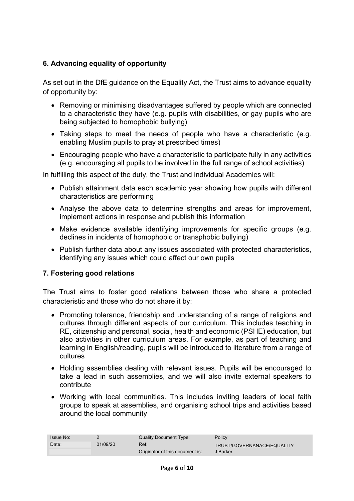#### **6. Advancing equality of opportunity**

As set out in the DfE quidance on the Equality Act, the Trust aims to advance equality of opportunity by:

- Removing or minimising disadvantages suffered by people which are connected to a characteristic they have (e.g. pupils with disabilities, or gay pupils who are being subjected to homophobic bullying)
- Taking steps to meet the needs of people who have a characteristic (e.g. enabling Muslim pupils to pray at prescribed times)
- Encouraging people who have a characteristic to participate fully in any activities (e.g. encouraging all pupils to be involved in the full range of school activities)

In fulfilling this aspect of the duty, the Trust and individual Academies will:

- Publish attainment data each academic year showing how pupils with different characteristics are performing
- Analyse the above data to determine strengths and areas for improvement, implement actions in response and publish this information
- Make evidence available identifying improvements for specific groups (e.g. declines in incidents of homophobic or transphobic bullying)
- Publish further data about any issues associated with protected characteristics, identifying any issues which could affect our own pupils

### **7. Fostering good relations**

The Trust aims to foster good relations between those who share a protected characteristic and those who do not share it by:

- Promoting tolerance, friendship and understanding of a range of religions and cultures through different aspects of our curriculum. This includes teaching in RE, citizenship and personal, social, health and economic (PSHE) education, but also activities in other curriculum areas. For example, as part of teaching and learning in English/reading, pupils will be introduced to literature from a range of cultures
- Holding assemblies dealing with relevant issues. Pupils will be encouraged to take a lead in such assemblies, and we will also invite external speakers to contribute
- Working with local communities. This includes inviting leaders of local faith groups to speak at assemblies, and organising school trips and activities based around the local community

| <b>Issue No:</b> |          | Quality Document Type:                  | Policy                                 |
|------------------|----------|-----------------------------------------|----------------------------------------|
| Date:            | 01/09/20 | Ref:<br>Originator of this document is: | TRUST/GOVERNANACE/EQUALITY<br>J Barker |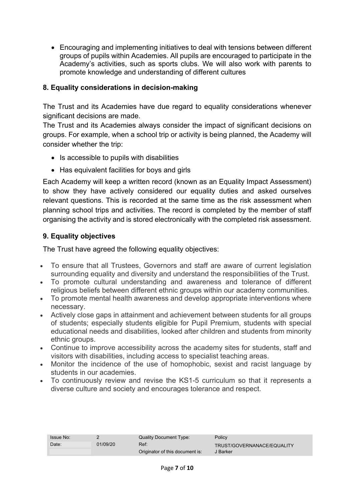• Encouraging and implementing initiatives to deal with tensions between different groups of pupils within Academies. All pupils are encouraged to participate in the Academy's activities, such as sports clubs. We will also work with parents to promote knowledge and understanding of different cultures

#### **8. Equality considerations in decision-making**

The Trust and its Academies have due regard to equality considerations whenever significant decisions are made.

The Trust and its Academies always consider the impact of significant decisions on groups. For example, when a school trip or activity is being planned, the Academy will consider whether the trip:

- Is accessible to pupils with disabilities
- Has equivalent facilities for boys and girls

Each Academy will keep a written record (known as an Equality Impact Assessment) to show they have actively considered our equality duties and asked ourselves relevant questions. This is recorded at the same time as the risk assessment when planning school trips and activities. The record is completed by the member of staff organising the activity and is stored electronically with the completed risk assessment.

#### **9. Equality objectives**

The Trust have agreed the following equality objectives:

- To ensure that all Trustees, Governors and staff are aware of current legislation surrounding equality and diversity and understand the responsibilities of the Trust.
- To promote cultural understanding and awareness and tolerance of different religious beliefs between different ethnic groups within our academy communities.
- To promote mental health awareness and develop appropriate interventions where necessary.
- Actively close gaps in attainment and achievement between students for all groups of students; especially students eligible for Pupil Premium, students with special educational needs and disabilities, looked after children and students from minority ethnic groups.
- Continue to improve accessibility across the academy sites for students, staff and visitors with disabilities, including access to specialist teaching areas.
- Monitor the incidence of the use of homophobic, sexist and racist language by students in our academies.
- To continuously review and revise the KS1-5 curriculum so that it represents a diverse culture and society and encourages tolerance and respect.

| <b>Issue No:</b> |          | Quality Document Type:                  | Policy                                 |
|------------------|----------|-----------------------------------------|----------------------------------------|
| Date:            | 01/09/20 | Ref:<br>Originator of this document is: | TRUST/GOVERNANACE/EQUALITY<br>J Barker |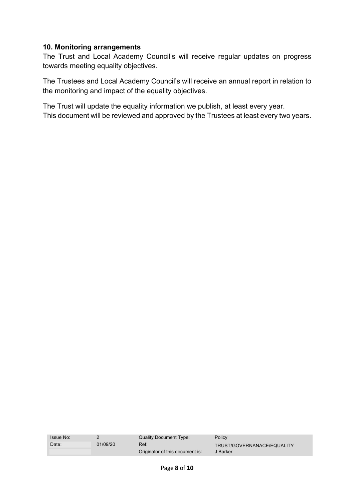#### **10. Monitoring arrangements**

The Trust and Local Academy Council's will receive regular updates on progress towards meeting equality objectives.

The Trustees and Local Academy Council's will receive an annual report in relation to the monitoring and impact of the equality objectives.

The Trust will update the equality information we publish, at least every year. This document will be reviewed and approved by the Trustees at least every two years.

| <b>Issue No:</b> |          | Quality Document Type:                  | Policy                                 |
|------------------|----------|-----------------------------------------|----------------------------------------|
| Date:            | 01/09/20 | Ref:<br>Originator of this document is: | TRUST/GOVERNANACE/EQUALITY<br>J Barker |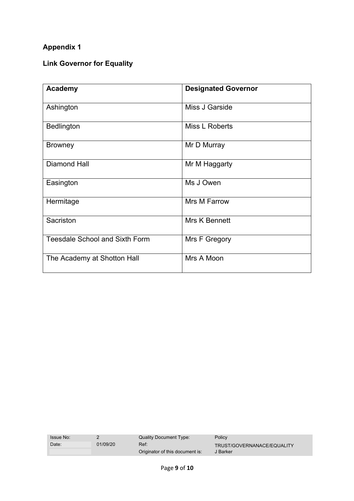# **Appendix 1**

# **Link Governor for Equality**

| <b>Academy</b>                        | <b>Designated Governor</b> |
|---------------------------------------|----------------------------|
| Ashington                             | Miss J Garside             |
| <b>Bedlington</b>                     | Miss L Roberts             |
| <b>Browney</b>                        | Mr D Murray                |
| <b>Diamond Hall</b>                   | Mr M Haggarty              |
| Easington                             | Ms J Owen                  |
| Hermitage                             | <b>Mrs M Farrow</b>        |
| Sacriston                             | Mrs K Bennett              |
| <b>Teesdale School and Sixth Form</b> | Mrs F Gregory              |
| The Academy at Shotton Hall           | Mrs A Moon                 |

| <b>Issue No:</b> |          | Quality Document Type:                  | <b>Policy</b>                          |
|------------------|----------|-----------------------------------------|----------------------------------------|
| Date:            | 01/09/20 | Ref:<br>Originator of this document is: | TRUST/GOVERNANACE/EQUALITY<br>J Barker |